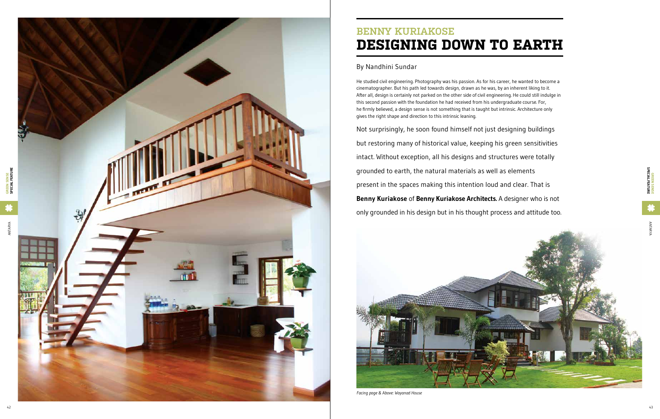

He studied civil engineering. Photography was his passion. As for his career, he wanted to become a cinematographer. But his path led towards design, drawn as he was, by an inherent liking to it. After all, design is certainly not parked on the other side of civil engineering. He could still indulge in this second passion with the foundation he had received from his undergraduate course. For, he firmly believed, a design sense is not something that is taught but intrinsic. Architecture only gives the right shape and direction to this intrinsic leaning.

- Not surprisingly, he soon found himself not just designing buildings
- but restoring many of historical value, keeping his green sensitivities
- intact. Without exception, all his designs and structures were totally
	-
- present in the spaces making this intention loud and clear. That is
- **Benny Kuriakose** of **Benny Kuriakose Architects.** A designer who is not
- only grounded in his design but in his thought process and attitude too.

grounded to earth, the natural materials as well as elements

## **Benn y Kuria kose Design ing down to earth**

## By Nandhini Sundar



*Facing page & Above: Wayanad House*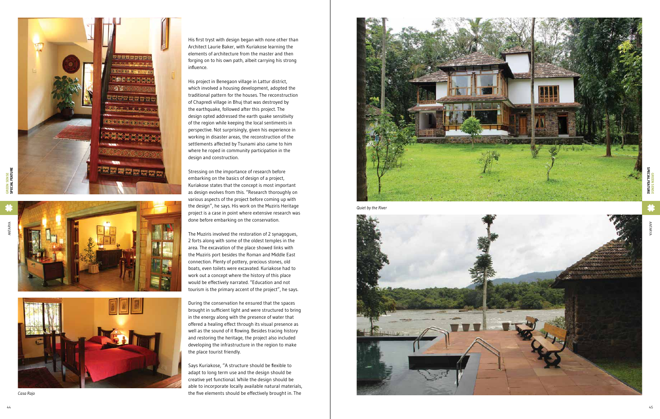







His project in Benegaon village in Lattur district, which involved a housing development, adopted the traditional pattern for the houses. The reconstruction of Chapredi village in Bhuj that was destroyed by the earthquake, followed after this project. The design opted addressed the earth quake sensitivity of the region while keeping the local sentiments in perspective. Not surprisingly, given his experience in working in disaster areas, the reconstruction of the settlements affected by Tsunami also came to him where he roped in community participation in the design and construction.

Stressing on the importance of research before embarking on the basics of design of a project, Kuriakose states that the concept is most important as design evolves from this. "Research thoroughly on various aspects of the project before coming up with the design", he says. His work on the Muziris Heritage project is a case in point where extensive research was done before embarking on the conservation.

The Muziris involved the restoration of 2 synagogues, 2 forts along with some of the oldest temples in the area. The excavation of the place showed links with the Muziris port besides the Roman and Middle East connection. Plenty of pottery, precious stones, old boats, even toilets were excavated. Kuriakose had to work out a concept where the history of this place would be effectively narrated. "Education and not tourism is the primary accent of the project", he says.

During the conservation he ensured that the spaces brought in sufficient light and were structured to bring in the energy along with the presence of water that offered a healing effect through its visual presence as well as the sound of it flowing. Besides tracing history and restoring the heritage, the project also included developing the infrastructure in the region to make the place tourist friendly.

Says Kuriakose, "A structure should be flexible to adapt to long term use and the design should be creative yet functional. While the design should be able to incorporate locally available natural materials, *Casa Rajo* the five elements should be effectively brought in. The